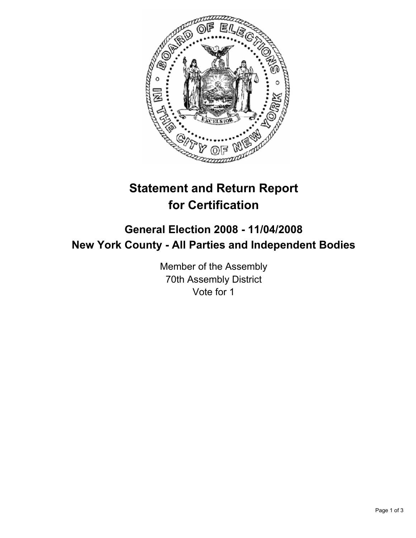

# **Statement and Return Report for Certification**

## **General Election 2008 - 11/04/2008 New York County - All Parties and Independent Bodies**

Member of the Assembly 70th Assembly District Vote for 1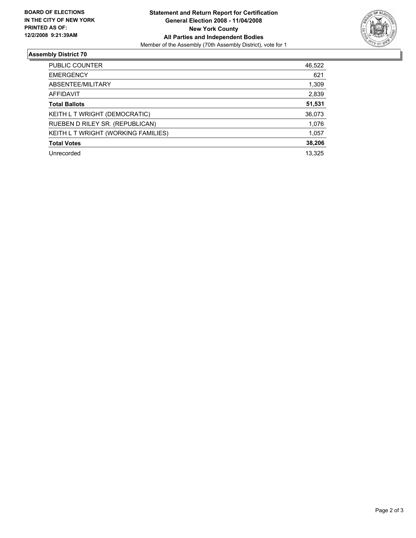

### **Assembly District 70**

| PUBLIC COUNTER                      | 46,522 |
|-------------------------------------|--------|
| <b>EMERGENCY</b>                    | 621    |
| ABSENTEE/MILITARY                   | 1,309  |
| AFFIDAVIT                           | 2,839  |
| <b>Total Ballots</b>                | 51,531 |
| KEITH L T WRIGHT (DEMOCRATIC)       | 36,073 |
| RUEBEN D RILEY SR. (REPUBLICAN)     | 1,076  |
| KEITH L T WRIGHT (WORKING FAMILIES) | 1,057  |
| <b>Total Votes</b>                  | 38,206 |
| Unrecorded                          | 13,325 |